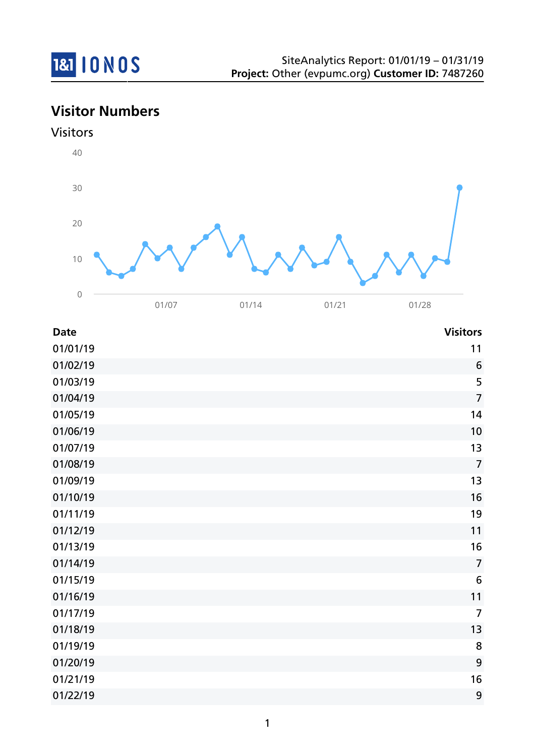

**Visitor Numbers**



| <b>Date</b> | <b>Visitors</b> |
|-------------|-----------------|
| 01/01/19    | 11              |
| 01/02/19    | 6               |
| 01/03/19    | 5               |
| 01/04/19    | $\overline{7}$  |
| 01/05/19    | 14              |
| 01/06/19    | 10              |
| 01/07/19    | 13              |
| 01/08/19    | $\overline{7}$  |
| 01/09/19    | 13              |
| 01/10/19    | 16              |
| 01/11/19    | 19              |
| 01/12/19    | 11              |
| 01/13/19    | 16              |
| 01/14/19    | $\overline{7}$  |
| 01/15/19    | 6               |
| 01/16/19    | 11              |
| 01/17/19    | $\overline{7}$  |
| 01/18/19    | 13              |
| 01/19/19    | 8               |
| 01/20/19    | 9               |
| 01/21/19    | 16              |
| 01/22/19    | 9               |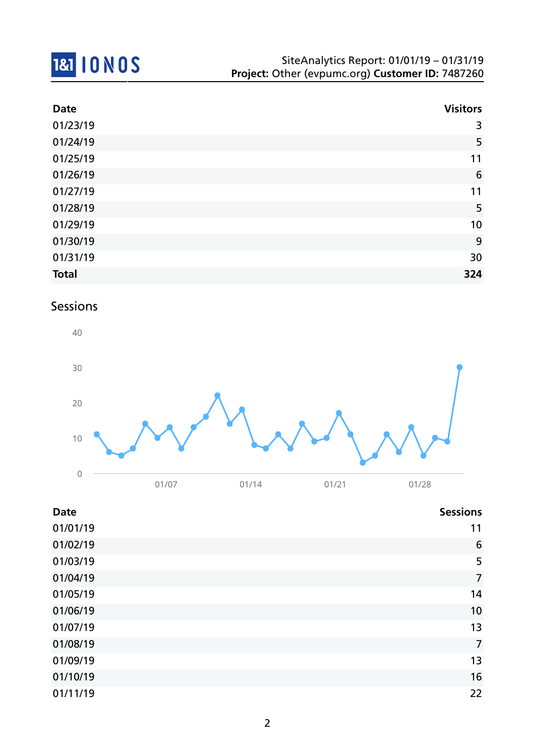

| <b>Date</b>  | <b>Visitors</b> |
|--------------|-----------------|
| 01/23/19     | 3               |
| 01/24/19     | 5               |
| 01/25/19     | 11              |
| 01/26/19     | $6\phantom{1}6$ |
| 01/27/19     | 11              |
| 01/28/19     | 5               |
| 01/29/19     | 10              |
| 01/30/19     | 9               |
| 01/31/19     | 30              |
| <b>Total</b> | 324             |

## Sessions



| <b>Date</b> | <b>Sessions</b> |
|-------------|-----------------|
| 01/01/19    | 11              |
| 01/02/19    | 6               |
| 01/03/19    | 5               |
| 01/04/19    | $\overline{7}$  |
| 01/05/19    | 14              |
| 01/06/19    | 10              |
| 01/07/19    | 13              |
| 01/08/19    | $\overline{7}$  |
| 01/09/19    | 13              |
| 01/10/19    | 16              |
| 01/11/19    | 22              |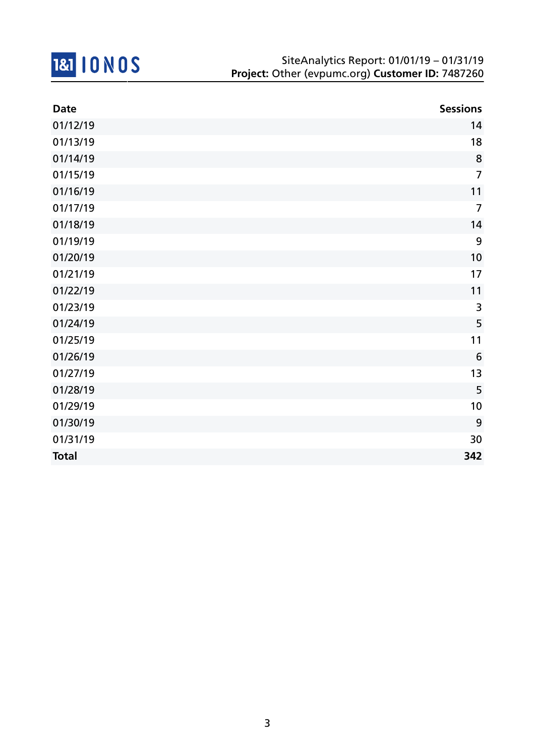

| <b>Date</b>  | <b>Sessions</b> |
|--------------|-----------------|
| 01/12/19     | 14              |
| 01/13/19     | 18              |
| 01/14/19     | 8               |
| 01/15/19     | $\overline{7}$  |
| 01/16/19     | 11              |
| 01/17/19     | $\overline{7}$  |
| 01/18/19     | 14              |
| 01/19/19     | 9               |
| 01/20/19     | 10              |
| 01/21/19     | 17              |
| 01/22/19     | 11              |
| 01/23/19     | 3               |
| 01/24/19     | 5               |
| 01/25/19     | 11              |
| 01/26/19     | $6\phantom{1}6$ |
| 01/27/19     | 13              |
| 01/28/19     | 5               |
| 01/29/19     | 10              |
| 01/30/19     | 9               |
| 01/31/19     | 30              |
| <b>Total</b> | 342             |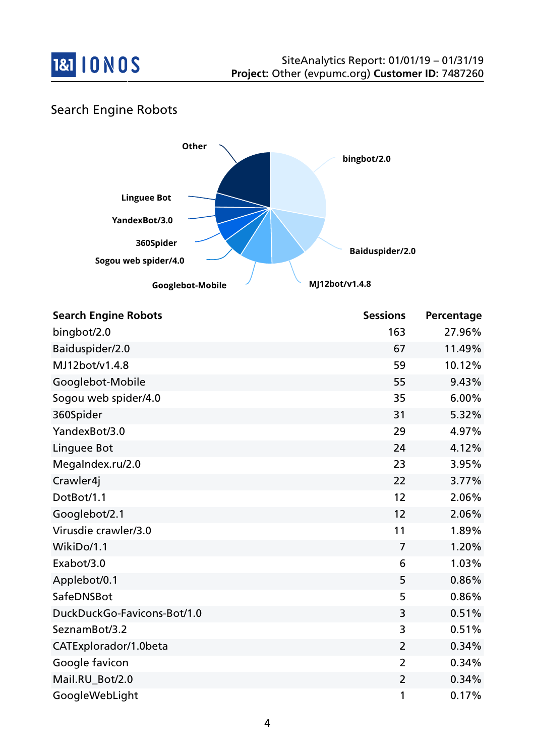

## Search Engine Robots



| <b>Search Engine Robots</b> | <b>Sessions</b> | Percentage |
|-----------------------------|-----------------|------------|
| bingbot/2.0                 | 163             | 27.96%     |
| Baiduspider/2.0             | 67              | 11.49%     |
| MJ12bot/v1.4.8              | 59              | 10.12%     |
| Googlebot-Mobile            | 55              | 9.43%      |
| Sogou web spider/4.0        | 35              | 6.00%      |
| 360Spider                   | 31              | 5.32%      |
| YandexBot/3.0               | 29              | 4.97%      |
| Linguee Bot                 | 24              | 4.12%      |
| MegaIndex.ru/2.0            | 23              | 3.95%      |
| Crawler4j                   | 22              | 3.77%      |
| DotBot/1.1                  | 12              | 2.06%      |
| Googlebot/2.1               | 12              | 2.06%      |
| Virusdie crawler/3.0        | 11              | 1.89%      |
| WikiDo/1.1                  | 7               | 1.20%      |
| Exabot/3.0                  | 6               | 1.03%      |
| Applebot/0.1                | 5               | 0.86%      |
| SafeDNSBot                  | 5               | 0.86%      |
| DuckDuckGo-Favicons-Bot/1.0 | 3               | 0.51%      |
| SeznamBot/3.2               | 3               | 0.51%      |
| CATExplorador/1.0beta       | $\overline{2}$  | 0.34%      |
| Google favicon              | $\overline{2}$  | 0.34%      |
| Mail.RU_Bot/2.0             | $\overline{2}$  | 0.34%      |
| GoogleWebLight              | 1               | 0.17%      |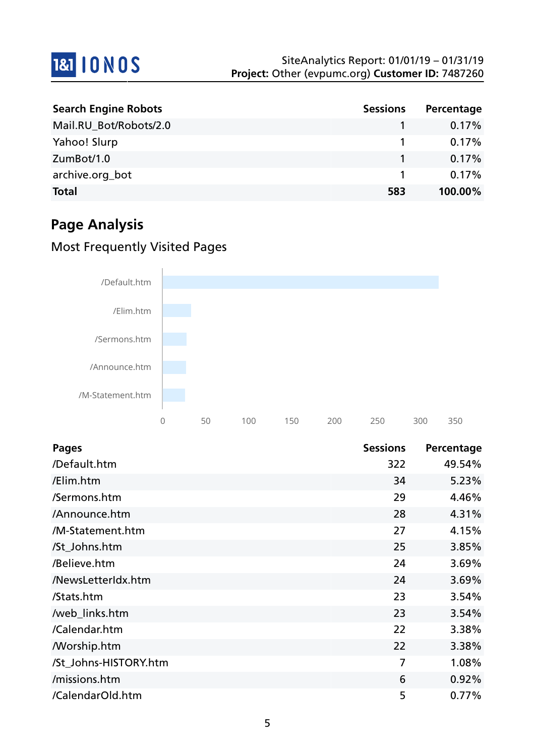

| <b>Search Engine Robots</b> | <b>Sessions</b> | Percentage |
|-----------------------------|-----------------|------------|
| Mail.RU_Bot/Robots/2.0      |                 | 0.17%      |
| Yahoo! Slurp                |                 | $0.17\%$   |
| ZumBot/1.0                  |                 | $0.17\%$   |
| archive.org_bot             |                 | 0.17%      |
| <b>Total</b>                | 583             | 100.00%    |

# **Page Analysis**

## Most Frequently Visited Pages



| <b>Pages</b>          | <b>Sessions</b> | Percentage |
|-----------------------|-----------------|------------|
| /Default.htm          | 322             | 49.54%     |
| /Elim.htm             | 34              | 5.23%      |
| /Sermons.htm          | 29              | 4.46%      |
| /Announce.htm         | 28              | 4.31%      |
| /M-Statement.htm      | 27              | 4.15%      |
| /St_Johns.htm         | 25              | 3.85%      |
| /Believe.htm          | 24              | 3.69%      |
| /NewsLetterIdx.htm    | 24              | 3.69%      |
| /Stats.htm            | 23              | 3.54%      |
| /web_links.htm        | 23              | 3.54%      |
| /Calendar.htm         | 22              | 3.38%      |
| <b>Morship.htm</b>    | 22              | 3.38%      |
| /St_Johns-HISTORY.htm | 7               | 1.08%      |
| /missions.htm         | 6               | 0.92%      |
| /CalendarOld.htm      | 5               | 0.77%      |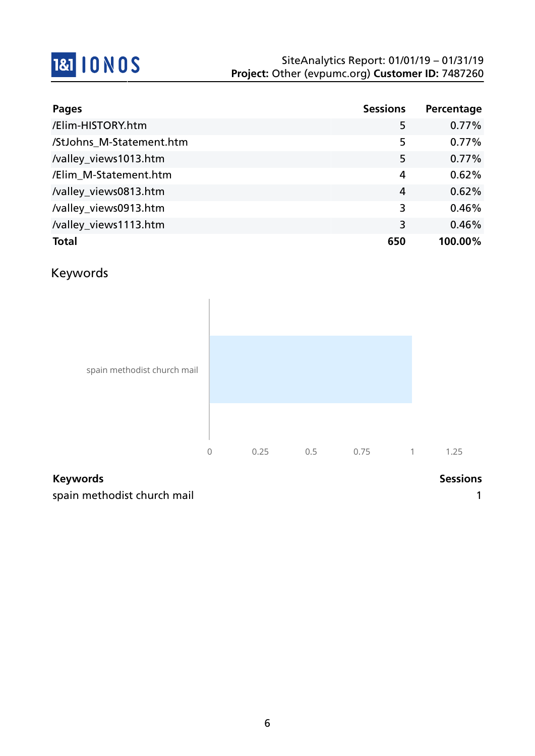# **1&1 10 NOS**

| Pages                    | <b>Sessions</b> | Percentage |
|--------------------------|-----------------|------------|
| /Elim-HISTORY.htm        | 5               | 0.77%      |
| /StJohns_M-Statement.htm | 5               | 0.77%      |
| /valley_views1013.htm    | 5               | 0.77%      |
| /Elim_M-Statement.htm    | 4               | 0.62%      |
| /valley_views0813.htm    | 4               | 0.62%      |
| /valley_views0913.htm    | 3               | 0.46%      |
| /valley_views1113.htm    | 3               | 0.46%      |
| <b>Total</b>             | 650             | 100.00%    |

## Keywords



#### **Keywords Sessions**

spain methodist church mail 1 and 1 and 1 and 1 and 1 and 1 and 1 and 1 and 1 and 1 and 1 and 1 and 1 and 1 and 1 and 1 and 1 and 1 and 1 and 1 and 1 and 1 and 1 and 1 and 1 and 1 and 1 and 1 and 1 and 1 and 1 and 1 and 1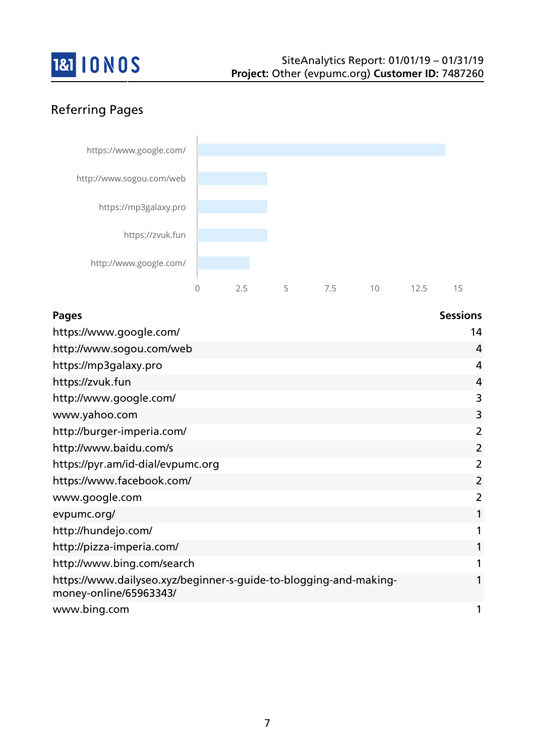

## Referring Pages



| <b>Pages</b>                                                                                | <b>Sessions</b> |
|---------------------------------------------------------------------------------------------|-----------------|
| https://www.google.com/                                                                     | 14              |
| http://www.sogou.com/web                                                                    | $\overline{4}$  |
| https://mp3galaxy.pro                                                                       | 4               |
| https://zvuk.fun                                                                            | 4               |
| http://www.google.com/                                                                      | 3               |
| www.yahoo.com                                                                               | 3               |
| http://burger-imperia.com/                                                                  | 2               |
| http://www.baidu.com/s                                                                      | 2               |
| https://pyr.am/id-dial/evpumc.org                                                           | $\overline{2}$  |
| https://www.facebook.com/                                                                   | $\overline{2}$  |
| www.google.com                                                                              | 2               |
| evpumc.org/                                                                                 | 1               |
| http://hundejo.com/                                                                         | 1               |
| http://pizza-imperia.com/                                                                   | 1               |
| http://www.bing.com/search                                                                  | 1               |
| https://www.dailyseo.xyz/beginner-s-guide-to-blogging-and-making-<br>money-online/65963343/ | 1               |
| www.bing.com                                                                                | 1               |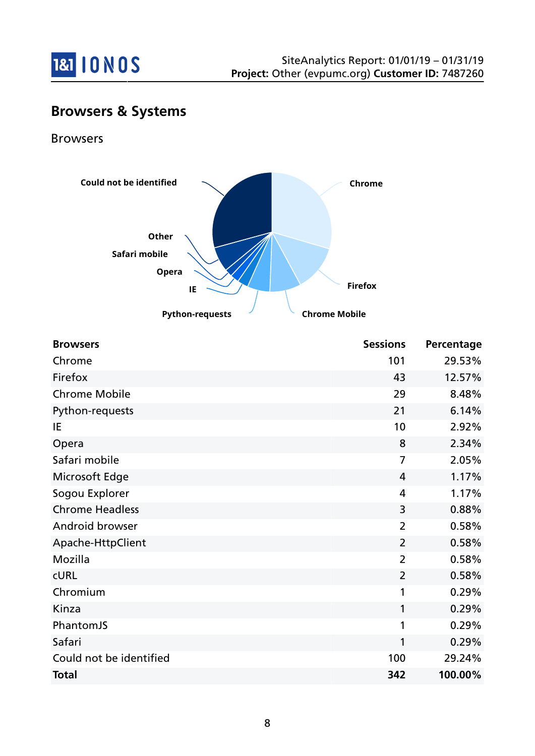

## **Browsers & Systems**

Browsers



| <b>Browsers</b>         | <b>Sessions</b> | Percentage |
|-------------------------|-----------------|------------|
| Chrome                  | 101             | 29.53%     |
| Firefox                 | 43              | 12.57%     |
| <b>Chrome Mobile</b>    | 29              | 8.48%      |
| Python-requests         | 21              | 6.14%      |
| IE                      | 10              | 2.92%      |
| Opera                   | 8               | 2.34%      |
| Safari mobile           | 7               | 2.05%      |
| Microsoft Edge          | 4               | 1.17%      |
| Sogou Explorer          | 4               | 1.17%      |
| <b>Chrome Headless</b>  | 3               | 0.88%      |
| Android browser         | $\overline{2}$  | 0.58%      |
| Apache-HttpClient       | $\overline{2}$  | 0.58%      |
| Mozilla                 | $\overline{2}$  | 0.58%      |
| <b>CURL</b>             | $\overline{2}$  | 0.58%      |
| Chromium                | 1               | 0.29%      |
| Kinza                   | 1               | 0.29%      |
| PhantomJS               | 1               | 0.29%      |
| Safari                  | 1               | 0.29%      |
| Could not be identified | 100             | 29.24%     |
| <b>Total</b>            | 342             | 100.00%    |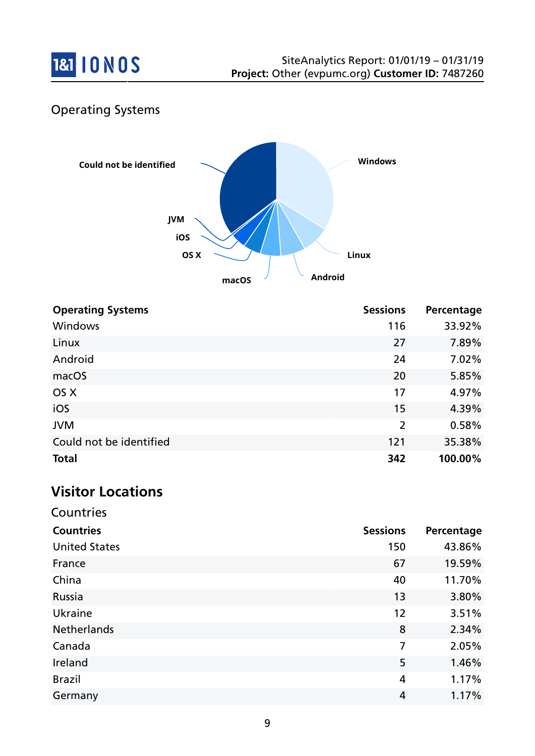

## Operating Systems



| <b>Operating Systems</b> | <b>Sessions</b> | Percentage |
|--------------------------|-----------------|------------|
| <b>Windows</b>           | 116             | 33.92%     |
| Linux                    | 27              | 7.89%      |
| Android                  | 24              | 7.02%      |
| macOS                    | 20              | 5.85%      |
| OS X                     | 17              | 4.97%      |
| iOS                      | 15              | 4.39%      |
| <b>JVM</b>               | $\overline{2}$  | 0.58%      |
| Could not be identified  | 121             | 35.38%     |
| <b>Total</b>             | 342             | 100.00%    |

# **Visitor Locations**

Countries

| <b>Countries</b>     | <b>Sessions</b> | Percentage |
|----------------------|-----------------|------------|
| <b>United States</b> | 150             | 43.86%     |
| France               | 67              | 19.59%     |
| China                | 40              | 11.70%     |
| Russia               | 13              | 3.80%      |
| Ukraine              | 12              | 3.51%      |
| <b>Netherlands</b>   | 8               | 2.34%      |
| Canada               | 7               | 2.05%      |
| Ireland              | 5               | 1.46%      |
| <b>Brazil</b>        | 4               | 1.17%      |
| Germany              | 4               | 1.17%      |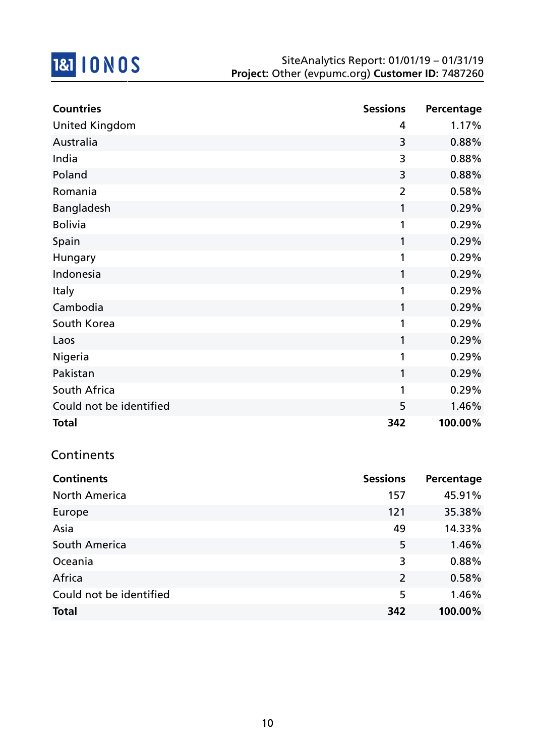

| <b>Countries</b>        | <b>Sessions</b> | Percentage |
|-------------------------|-----------------|------------|
| <b>United Kingdom</b>   | 4               | 1.17%      |
| Australia               | 3               | 0.88%      |
| India                   | 3               | 0.88%      |
| Poland                  | 3               | 0.88%      |
| Romania                 | $\overline{2}$  | 0.58%      |
| <b>Bangladesh</b>       | 1               | 0.29%      |
| <b>Bolivia</b>          | 1               | 0.29%      |
| Spain                   | 1               | 0.29%      |
| Hungary                 | 1               | 0.29%      |
| Indonesia               | 1               | 0.29%      |
| <b>Italy</b>            | 1               | 0.29%      |
| Cambodia                | 1               | 0.29%      |
| South Korea             | 1               | 0.29%      |
| Laos                    | 1               | 0.29%      |
| Nigeria                 | 1               | 0.29%      |
| Pakistan                | 1               | 0.29%      |
| South Africa            | 1               | 0.29%      |
| Could not be identified | 5               | 1.46%      |
| <b>Total</b>            | 342             | 100.00%    |

## **Continents**

| <b>Continents</b>       | <b>Sessions</b> | Percentage |
|-------------------------|-----------------|------------|
| <b>North America</b>    | 157             | 45.91%     |
| Europe                  | 121             | 35.38%     |
| Asia                    | 49              | 14.33%     |
| South America           | 5               | 1.46%      |
| Oceania                 | 3               | 0.88%      |
| Africa                  | $\overline{2}$  | 0.58%      |
| Could not be identified | 5               | 1.46%      |
| <b>Total</b>            | 342             | 100.00%    |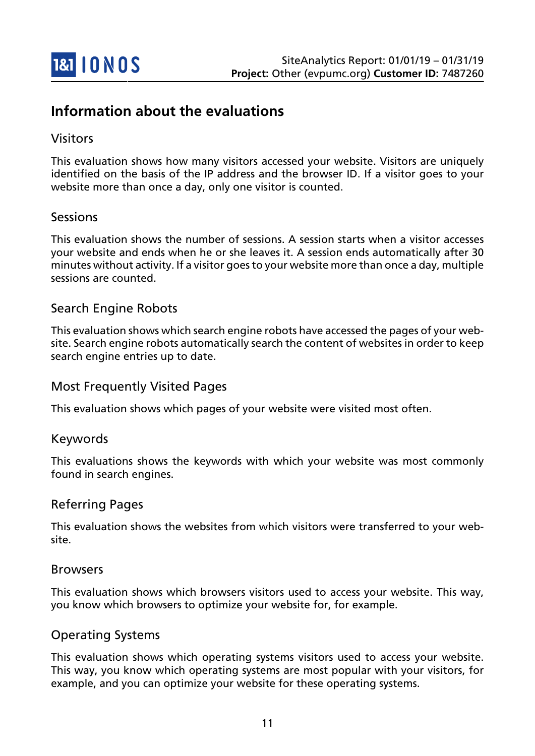

## **Information about the evaluations**

#### Visitors

This evaluation shows how many visitors accessed your website. Visitors are uniquely identified on the basis of the IP address and the browser ID. If a visitor goes to your website more than once a day, only one visitor is counted.

#### Sessions

This evaluation shows the number of sessions. A session starts when a visitor accesses your website and ends when he or she leaves it. A session ends automatically after 30 minutes without activity. If a visitor goes to your website more than once a day, multiple sessions are counted.

#### Search Engine Robots

This evaluation shows which search engine robots have accessed the pages of your website. Search engine robots automatically search the content of websites in order to keep search engine entries up to date.

#### Most Frequently Visited Pages

This evaluation shows which pages of your website were visited most often.

#### Keywords

This evaluations shows the keywords with which your website was most commonly found in search engines.

#### Referring Pages

This evaluation shows the websites from which visitors were transferred to your website.

#### Browsers

This evaluation shows which browsers visitors used to access your website. This way, you know which browsers to optimize your website for, for example.

#### Operating Systems

This evaluation shows which operating systems visitors used to access your website. This way, you know which operating systems are most popular with your visitors, for example, and you can optimize your website for these operating systems.